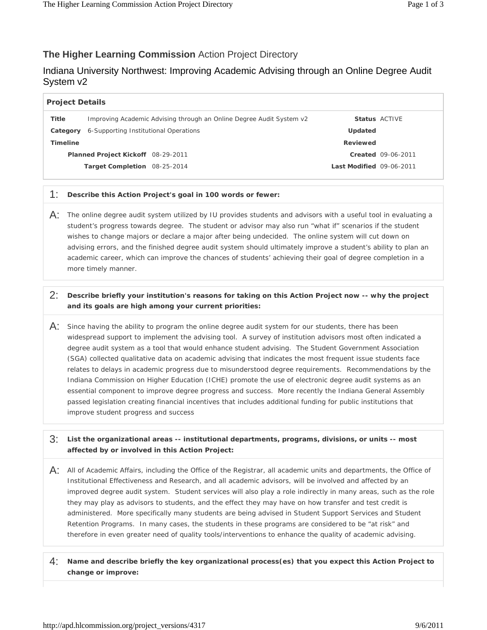# **The Higher Learning Commission** Action Project Directory

# Indiana University Northwest: Improving Academic Advising through an Online Degree Audit System v2

| <b>Project Details</b>                    |                                                                      |  |                          |                           |
|-------------------------------------------|----------------------------------------------------------------------|--|--------------------------|---------------------------|
| <b>Title</b>                              | Improving Academic Advising through an Online Degree Audit System v2 |  |                          | <b>Status ACTIVE</b>      |
| Category                                  | 6-Supporting Institutional Operations                                |  | Updated                  |                           |
| <b>Timeline</b>                           |                                                                      |  | Reviewed                 |                           |
| <b>Planned Project Kickoff</b> 08-29-2011 |                                                                      |  |                          | <b>Created 09-06-2011</b> |
|                                           | Target Completion 08-25-2014                                         |  | Last Modified 09-06-2011 |                           |
|                                           |                                                                      |  |                          |                           |

### 1: **Describe this Action Project's goal in 100 words or fewer:**

 student's progress towards degree. The student or advisor may also run "what if" scenarios if the student advising errors, and the finished degree audit system should ultimately improve a student's ability to plan an academic career, which can improve the chances of students' achieving their goal of degree completion in a  $\overline{A}$ : The online degree audit system utilized by IU provides students and advisors with a useful tool in evaluating a wishes to change majors or declare a major after being undecided. The online system will cut down on more timely manner.

## 2: **Describe briefly your institution's reasons for taking on this Action Project now -- why the project and its goals are high among your current priorities:**

 degree audit system as a tool that would enhance student advising. The Student Government Association improve student progress and success  $\overline{A}$ : Since having the ability to program the online degree audit system for our students, there has been widespread support to implement the advising tool. A survey of institution advisors most often indicated a (SGA) collected qualitative data on academic advising that indicates the most frequent issue students face relates to delays in academic progress due to misunderstood degree requirements. Recommendations by the Indiana Commission on Higher Education (ICHE) promote the use of electronic degree audit systems as an essential component to improve degree progress and success. More recently the Indiana General Assembly passed legislation creating financial incentives that includes additional funding for public institutions that

## 3: **List the organizational areas -- institutional departments, programs, divisions, or units -- most affected by or involved in this Action Project:**

- $A$ : All of Academic Affairs, including the Office of the Registrar, all academic units and departments, the Office of they may play as advisors to students, and the effect they may have on how transfer and test credit is Institutional Effectiveness and Research, and all academic advisors, will be involved and affected by an improved degree audit system. Student services will also play a role indirectly in many areas, such as the role administered. More specifically many students are being advised in Student Support Services and Student Retention Programs. In many cases, the students in these programs are considered to be "at risk" and therefore in even greater need of quality tools/interventions to enhance the quality of academic advising.
- 4: **Name and describe briefly the key organizational process(es) that you expect this Action Project to change or improve:**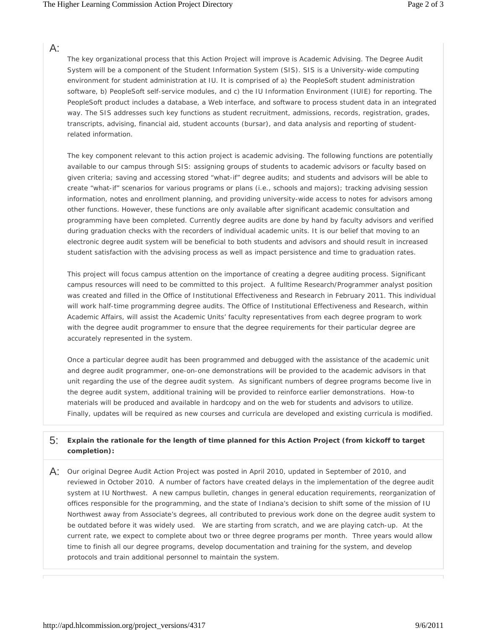## $A$ :

The key organizational process that this Action Project will improve is Academic Advising. The Degree Audit System will be a component of the Student Information System (SIS). SIS is a University-wide computing environment for student administration at IU. It is comprised of a) the PeopleSoft student administration software, b) PeopleSoft self-service modules, and c) the IU Information Environment (IUIE) for reporting. The PeopleSoft product includes a database, a Web interface, and software to process student data in an integrated way. The SIS addresses such key functions as student recruitment, admissions, records, registration, grades, transcripts, advising, financial aid, student accounts (bursar), and data analysis and reporting of studentrelated information.

 create "what-if" scenarios for various programs or plans (i.e., schools and majors); tracking advising session information, notes and enrollment planning, and providing university-wide access to notes for advisors among electronic degree audit system will be beneficial to both students and advisors and should result in increased The key component relevant to this action project is academic advising. The following functions are potentially available to our campus through SIS: assigning groups of students to academic advisors or faculty based on given criteria; saving and accessing stored "what-if" degree audits; and students and advisors will be able to other functions. However, these functions are only available after significant academic consultation and programming have been completed. Currently degree audits are done by hand by faculty advisors and verified during graduation checks with the recorders of individual academic units. It is our belief that moving to an student satisfaction with the advising process as well as impact persistence and time to graduation rates.

 This project will focus campus attention on the importance of creating a degree auditing process. Significant was created and filled in the Office of Institutional Effectiveness and Research in February 2011. This individual campus resources will need to be committed to this project. A fulltime Research/Programmer analyst position will work half-time programming degree audits. The Office of Institutional Effectiveness and Research, within Academic Affairs, will assist the Academic Units' faculty representatives from each degree program to work with the degree audit programmer to ensure that the degree requirements for their particular degree are accurately represented in the system.

 unit regarding the use of the degree audit system. As significant numbers of degree programs become live in materials will be produced and available in hardcopy and on the web for students and advisors to utilize. Finally, updates will be required as new courses and curricula are developed and existing curricula is modified. Once a particular degree audit has been programmed and debugged with the assistance of the academic unit and degree audit programmer, one-on-one demonstrations will be provided to the academic advisors in that the degree audit system, additional training will be provided to reinforce earlier demonstrations. How-to

### 5: **Explain the rationale for the length of time planned for this Action Project (from kickoff to target completion):**

 reviewed in October 2010. A number of factors have created delays in the implementation of the degree audit offices responsible for the programming, and the state of Indiana's decision to shift some of the mission of IU time to finish all our degree programs, develop documentation and training for the system, and develop A: Our original Degree Audit Action Project was posted in April 2010, updated in September of 2010, and system at IU Northwest. A new campus bulletin, changes in general education requirements, reorganization of Northwest away from Associate's degrees, all contributed to previous work done on the degree audit system to be outdated before it was widely used. We are starting from scratch, and we are playing catch-up. At the current rate, we expect to complete about two or three degree programs per month. Three years would allow protocols and train additional personnel to maintain the system.